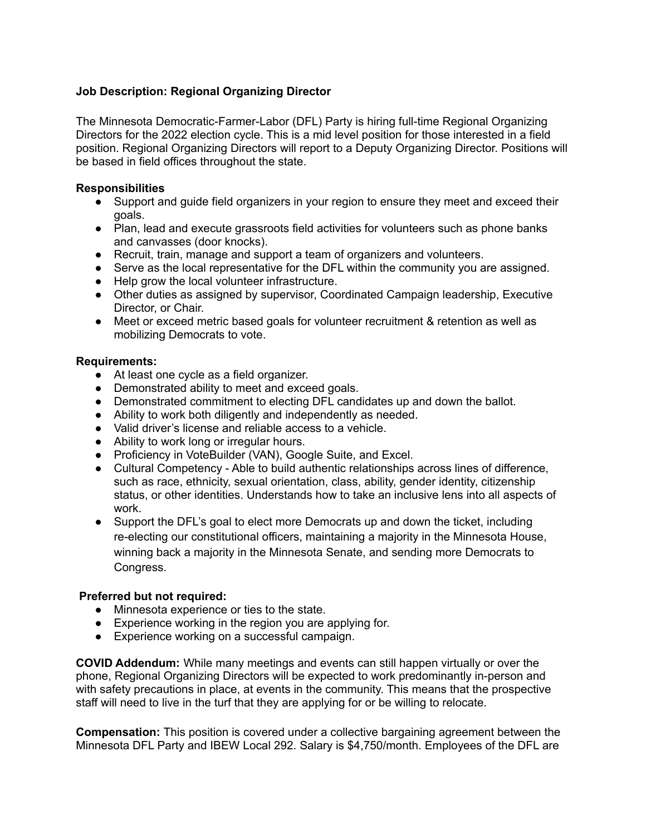# **Job Description: Regional Organizing Director**

The Minnesota Democratic-Farmer-Labor (DFL) Party is hiring full-time Regional Organizing Directors for the 2022 election cycle. This is a mid level position for those interested in a field position. Regional Organizing Directors will report to a Deputy Organizing Director. Positions will be based in field offices throughout the state.

#### **Responsibilities**

- Support and guide field organizers in your region to ensure they meet and exceed their goals.
- Plan, lead and execute grassroots field activities for volunteers such as phone banks and canvasses (door knocks).
- Recruit, train, manage and support a team of organizers and volunteers.
- Serve as the local representative for the DFL within the community you are assigned.
- Help grow the local volunteer infrastructure.
- Other duties as assigned by supervisor, Coordinated Campaign leadership, Executive Director, or Chair.
- Meet or exceed metric based goals for volunteer recruitment & retention as well as mobilizing Democrats to vote.

### **Requirements:**

- At least one cycle as a field organizer.
- Demonstrated ability to meet and exceed goals.
- Demonstrated commitment to electing DFL candidates up and down the ballot.
- Ability to work both diligently and independently as needed.
- Valid driver's license and reliable access to a vehicle.
- Ability to work long or irregular hours.
- Proficiency in VoteBuilder (VAN), Google Suite, and Excel.
- Cultural Competency Able to build authentic relationships across lines of difference, such as race, ethnicity, sexual orientation, class, ability, gender identity, citizenship status, or other identities. Understands how to take an inclusive lens into all aspects of work.
- Support the DFL's goal to elect more Democrats up and down the ticket, including re-electing our constitutional officers, maintaining a majority in the Minnesota House, winning back a majority in the Minnesota Senate, and sending more Democrats to Congress.

### **Preferred but not required:**

- Minnesota experience or ties to the state.
- Experience working in the region you are applying for.
- Experience working on a successful campaign.

**COVID Addendum:** While many meetings and events can still happen virtually or over the phone, Regional Organizing Directors will be expected to work predominantly in-person and with safety precautions in place, at events in the community. This means that the prospective staff will need to live in the turf that they are applying for or be willing to relocate.

**Compensation:** This position is covered under a collective bargaining agreement between the Minnesota DFL Party and IBEW Local 292. Salary is \$4,750/month. Employees of the DFL are